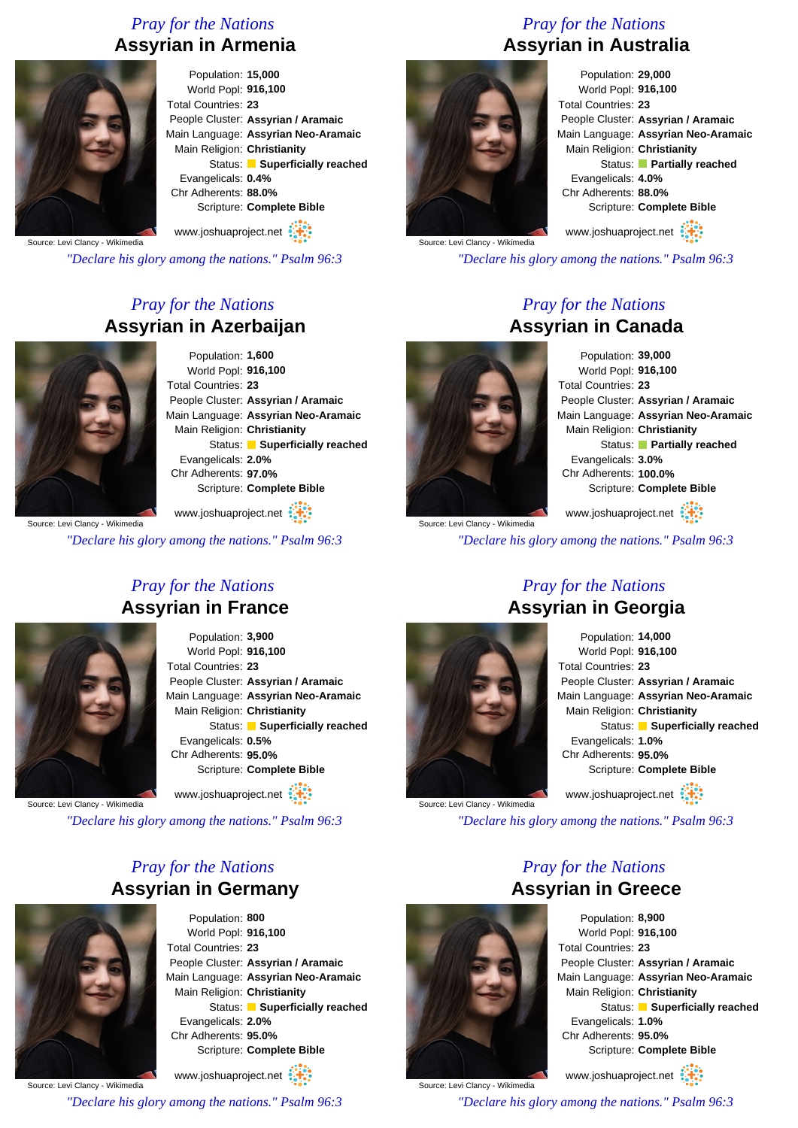## *Pray for the Nations* **Assyrian in Armenia**



Population: **15,000** World Popl: **916,100** Total Countries: **23** People Cluster: **Assyrian / Aramaic** Main Language: **Assyrian Neo-Aramaic** Main Religion: **Christianity** Status: **Superficially reached** Evangelicals: **0.4%** Chr Adherents: **88.0%** Scripture: **Complete Bible**

Source: Levi Clancy - Wikimedia www.joshuaproject.net

*"Declare his glory among the nations." Psalm 96:3*

## *Pray for the Nations* **Assyrian in Azerbaijan**



Population: **1,600** World Popl: **916,100** Total Countries: **23** People Cluster: **Assyrian / Aramaic** Main Language: **Assyrian Neo-Aramaic** Main Religion: **Christianity** Status: **Superficially reached** Evangelicals: **2.0%** Chr Adherents: **97.0%** Scripture: **Complete Bible**

Source: Levi Clancy - Wikimedia

*"Declare his glory among the nations." Psalm 96:3*

www.joshuaproject.net

### *Pray for the Nations* **Assyrian in France**

Population: **3,900** World Popl: **916,100** Total Countries: **23** People Cluster: **Assyrian / Aramaic** Main Language: **Assyrian Neo-Aramaic** Main Religion: **Christianity** Status: **Superficially reached** Evangelicals: **0.5%** Chr Adherents: **95.0%** Scripture: **Complete Bible** www.joshuaproject.net

Source: Levi Clancy - Wikimedia

*"Declare his glory among the nations." Psalm 96:3*

### *Pray for the Nations* **Assyrian in Germany**



Population: **800** World Popl: **916,100** Total Countries: **23** People Cluster: **Assyrian / Aramaic** Main Language: **Assyrian Neo-Aramaic** Main Religion: **Christianity** Status: **Superficially reached** Evangelicals: **2.0%** Chr Adherents: **95.0%** Scripture: **Complete Bible** www.joshuaproject.net

Source: Levi Clancy - Wikimedia

*"Declare his glory among the nations." Psalm 96:3*

## *Pray for the Nations* **Assyrian in Australia**



Population: **29,000** World Popl: **916,100** Total Countries: **23** People Cluster: **Assyrian / Aramaic** Main Language: **Assyrian Neo-Aramaic** Main Religion: **Christianity** Status: **Partially reached** Evangelicals: **4.0%** Chr Adherents: **88.0%** Scripture: **Complete Bible** www.joshuaproject.net

Source: Levi Clancy - Wikimedia

*"Declare his glory among the nations." Psalm 96:3*

## *Pray for the Nations* **Assyrian in Canada**

Population: **39,000** World Popl: **916,100** Total Countries: **23** People Cluster: **Assyrian / Aramaic** Main Language: **Assyrian Neo-Aramaic** Main Religion: **Christianity** Status: **Partially reached** Evangelicals: **3.0%** Chr Adherents: **100.0%** Scripture: **Complete Bible**

Source: Levi Clancy - Wikimedia www.joshuaproject.net

*"Declare his glory among the nations." Psalm 96:3*



Source: Levi Clancy - Wikimedia

### *Pray for the Nations* **Assyrian in Georgia**

Population: **14,000** World Popl: **916,100** Total Countries: **23** People Cluster: **Assyrian / Aramaic** Main Language: **Assyrian Neo-Aramaic** Main Religion: **Christianity** Status: **Superficially reached** Evangelicals: **1.0%** Chr Adherents: **95.0%** Scripture: **Complete Bible** www.joshuaproject.net

*"Declare his glory among the nations." Psalm 96:3*

*Pray for the Nations* **Assyrian in Greece**



www.joshuaproject.net

*"Declare his glory among the nations." Psalm 96:3*



Source: Levi Clancy - Wikimedia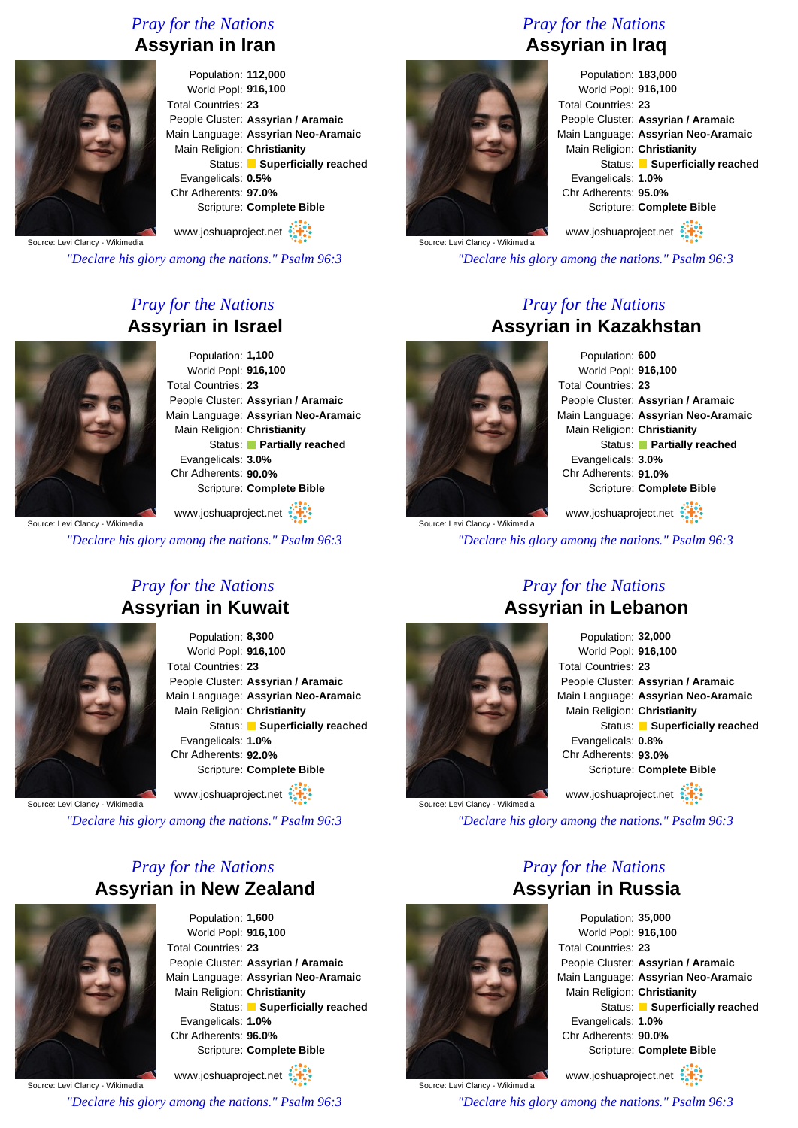### *Pray for the Nations* **Assyrian in Iran**



Source: Levi Clancy - Wikimedia

*"Declare his glory among the nations." Psalm 96:3*

## *Pray for the Nations* **Assyrian in Israel**



Population: **1,100** World Popl: **916,100** Total Countries: **23** People Cluster: **Assyrian / Aramaic** Main Language: **Assyrian Neo-Aramaic** Main Religion: **Christianity** Status: **Partially reached** Evangelicals: **3.0%** Chr Adherents: **90.0%** Scripture: **Complete Bible**

Source: Levi Clancy - Wikimedia www.joshuaproject.net

*"Declare his glory among the nations." Psalm 96:3*

### *Pray for the Nations* **Assyrian in Kuwait**

Population: **8,300** World Popl: **916,100** Total Countries: **23** People Cluster: **Assyrian / Aramaic** Main Language: **Assyrian Neo-Aramaic** Main Religion: **Christianity** Status: **Superficially reached** Evangelicals: **1.0%** Chr Adherents: **92.0%** Scripture: **Complete Bible**

www.joshuaproject.net

Source: Levi Clancy - Wikimedia

*"Declare his glory among the nations." Psalm 96:3*

## *Pray for the Nations* **Assyrian in New Zealand**



Population: **1,600** World Popl: **916,100** Total Countries: **23** People Cluster: **Assyrian / Aramaic** Main Language: **Assyrian Neo-Aramaic** Main Religion: **Christianity** Status: **Superficially reached** Evangelicals: **1.0%** Chr Adherents: **96.0%** Scripture: **Complete Bible** www.joshuaproject.net

Source: Levi Clancy - Wikimedia

*"Declare his glory among the nations." Psalm 96:3*

# *Pray for the Nations* **Assyrian in Iraq**



Population: **183,000** World Popl: **916,100** Total Countries: **23** People Cluster: **Assyrian / Aramaic** Main Language: **Assyrian Neo-Aramaic** Main Religion: **Christianity** Status: **Superficially reached** Evangelicals: **1.0%** Chr Adherents: **95.0%** Scripture: **Complete Bible**

www.joshuaproject.net

*"Declare his glory among the nations." Psalm 96:3*

#### *Pray for the Nations* **Assyrian in Kazakhstan**



Population: **600** World Popl: **916,100** Total Countries: **23** People Cluster: **Assyrian / Aramaic** Main Language: **Assyrian Neo-Aramaic** Main Religion: **Christianity** Status: **Partially reached** Evangelicals: **3.0%** Chr Adherents: **91.0%** Scripture: **Complete Bible**

Source: Levi Clancy - Wikimedia www.joshuaproject.net

*"Declare his glory among the nations." Psalm 96:3*



### *Pray for the Nations* **Assyrian in Lebanon**

Population: **32,000** World Popl: **916,100** Total Countries: **23** People Cluster: **Assyrian / Aramaic** Main Language: **Assyrian Neo-Aramaic** Main Religion: **Christianity** Status: **Superficially reached** Evangelicals: **0.8%** Chr Adherents: **93.0%** Scripture: **Complete Bible** www.joshuaproject.net

*"Declare his glory among the nations." Psalm 96:3*

*Pray for the Nations*

Source: Levi Clancy - Wikimedia

**Assyrian in Russia** Population: **35,000** World Popl: **916,100** Total Countries: **23** People Cluster: **Assyrian / Aramaic** Main Language: **Assyrian Neo-Aramaic** Main Religion: **Christianity** Status: **Superficially reached** Evangelicals: **1.0%** Chr Adherents: **90.0%** Scripture: **Complete Bible**

www.joshuaproject.net

*"Declare his glory among the nations." Psalm 96:3*



Source: Levi Clancy - Wikimedia